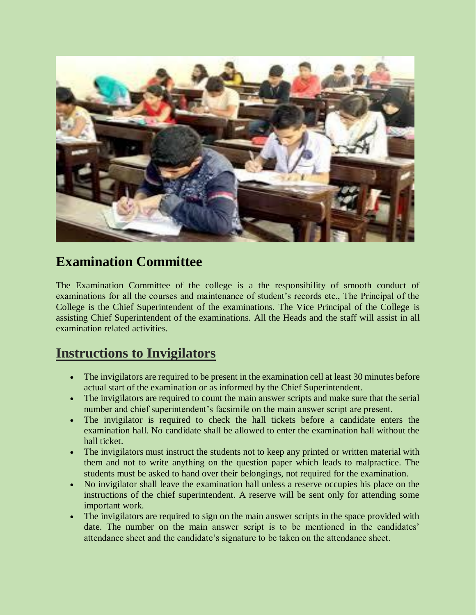

## **Examination Committee**

The Examination Committee of the college is a the responsibility of smooth conduct of examinations for all the courses and maintenance of student's records etc., The Principal of the College is the Chief Superintendent of the examinations. The Vice Principal of the College is assisting Chief Superintendent of the examinations. All the Heads and the staff will assist in all examination related activities.

## **Instructions to Invigilators**

- The invigilators are required to be present in the examination cell at least 30 minutes before actual start of the examination or as informed by the Chief Superintendent.
- The invigilators are required to count the main answer scripts and make sure that the serial number and chief superintendent's facsimile on the main answer script are present.
- The invigilator is required to check the hall tickets before a candidate enters the examination hall. No candidate shall be allowed to enter the examination hall without the hall ticket.
- The invigilators must instruct the students not to keep any printed or written material with them and not to write anything on the question paper which leads to malpractice. The students must be asked to hand over their belongings, not required for the examination.
- No invigilator shall leave the examination hall unless a reserve occupies his place on the instructions of the chief superintendent. A reserve will be sent only for attending some important work.
- The invigilators are required to sign on the main answer scripts in the space provided with date. The number on the main answer script is to be mentioned in the candidates' attendance sheet and the candidate's signature to be taken on the attendance sheet.